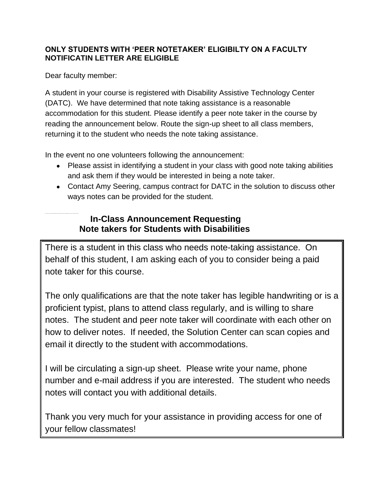## **ONLY STUDENTS WITH 'PEER NOTETAKER' ELIGIBILTY ON A FACULTY NOTIFICATIN LETTER ARE ELIGIBLE**

Dear faculty member:

A student in your course is registered with Disability Assistive Technology Center (DATC). We have determined that note taking assistance is a reasonable accommodation for this student. Please identify a peer note taker in the course by reading the announcement below. Route the sign-up sheet to all class members, returning it to the student who needs the note taking assistance.

In the event no one volunteers following the announcement:

- Please assist in identifying a student in your class with good note taking abilities and ask them if they would be interested in being a note taker.
- Contact Amy Seering, campus contract for DATC in the solution to discuss other ways notes can be provided for the student.

## **In-Class Announcement Requesting Note takers for Students with Disabilities**

There is a student in this class who needs note-taking assistance. On behalf of this student, I am asking each of you to consider being a paid note taker for this course.

The only qualifications are that the note taker has legible handwriting or is a proficient typist, plans to attend class regularly, and is willing to share notes. The student and peer note taker will coordinate with each other on how to deliver notes. If needed, the Solution Center can scan copies and email it directly to the student with accommodations.

I will be circulating a sign-up sheet. Please write your name, phone number and e-mail address if you are interested. The student who needs notes will contact you with additional details.

Thank you very much for your assistance in providing access for one of your fellow classmates!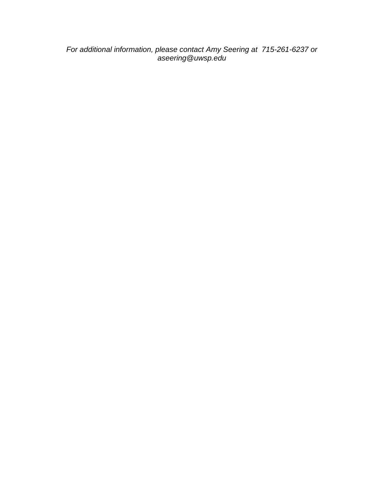*For additional information, please contact Amy Seering at 715-261-6237 or aseering@uwsp.edu*